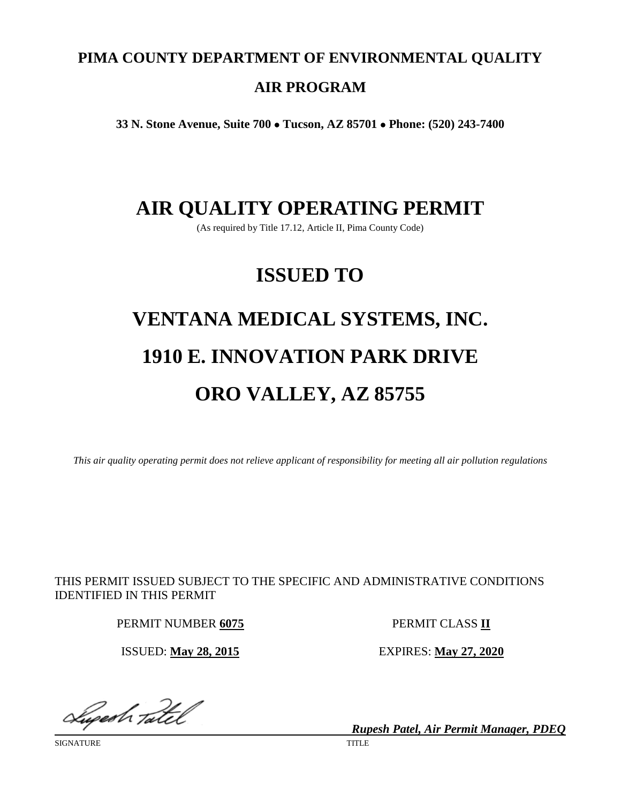# **PIMA COUNTY DEPARTMENT OF ENVIRONMENTAL QUALITY AIR PROGRAM**

**33 N. Stone Avenue, Suite 700** • **Tucson, AZ 85701** • **Phone: (520) 243-7400**

## **AIR QUALITY OPERATING PERMIT**

(As required by Title 17.12, Article II, Pima County Code)

# **ISSUED TO**

# **VENTANA MEDICAL SYSTEMS, INC. 1910 E. INNOVATION PARK DRIVE ORO VALLEY, AZ 85755**

*This air quality operating permit does not relieve applicant of responsibility for meeting all air pollution regulations*

THIS PERMIT ISSUED SUBJECT TO THE SPECIFIC AND ADMINISTRATIVE CONDITIONS IDENTIFIED IN THIS PERMIT

PERMIT NUMBER **6075** PERMIT CLASS **II**

ISSUED: **May 28, 2015** EXPIRES: **May 27, 2020**

Superh Tatel

SIGNATURE TITLE

*Rupesh Patel, Air Permit Manager, PDEQ*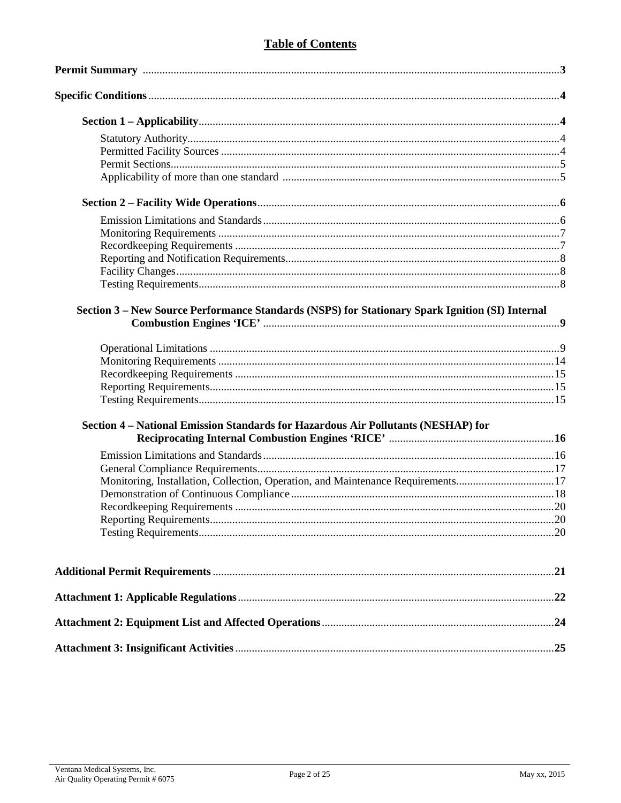### **Table of Contents**

| Section 3 - New Source Performance Standards (NSPS) for Stationary Spark Ignition (SI) Internal |  |
|-------------------------------------------------------------------------------------------------|--|
|                                                                                                 |  |
|                                                                                                 |  |
|                                                                                                 |  |
|                                                                                                 |  |
|                                                                                                 |  |
| Section 4 - National Emission Standards for Hazardous Air Pollutants (NESHAP) for               |  |
|                                                                                                 |  |
|                                                                                                 |  |
|                                                                                                 |  |
| Monitoring, Installation, Collection, Operation, and Maintenance Requirements17                 |  |
|                                                                                                 |  |
|                                                                                                 |  |
|                                                                                                 |  |
|                                                                                                 |  |
|                                                                                                 |  |
|                                                                                                 |  |
|                                                                                                 |  |
|                                                                                                 |  |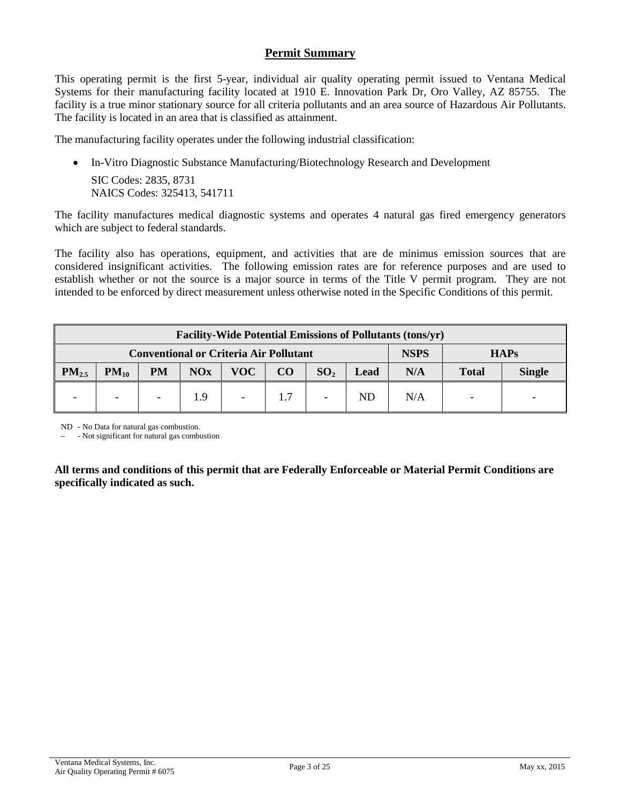#### **Permit Summary**

This operating permit is the first 5-year, individual air quality operating permit issued to Ventana Medical Systems for their manufacturing facility located at 1910 E. Innovation Park Dr, Oro Valley, AZ 85755. The facility is a true minor stationary source for all criteria pollutants and an area source of Hazardous Air Pollutants. The facility is located in an area that is classified as attainment.

The manufacturing facility operates under the following industrial classification:

• In-Vitro Diagnostic Substance Manufacturing/Biotechnology Research and Development SIC Codes: 2835, 8731 NAICS Codes: 325413, 541711

The facility manufactures medical diagnostic systems and operates 4 natural gas fired emergency generators which are subject to federal standards.

The facility also has operations, equipment, and activities that are de minimus emission sources that are considered insignificant activities. The following emission rates are for reference purposes and are used to establish whether or not the source is a major source in terms of the Title V permit program. They are not intended to be enforced by direct measurement unless otherwise noted in the Specific Conditions of this permit.

| <b>Facility-Wide Potential Emissions of Pollutants (tons/yr)</b> |           |                          |     |             |     |                 |      |     |              |               |
|------------------------------------------------------------------|-----------|--------------------------|-----|-------------|-----|-----------------|------|-----|--------------|---------------|
| <b>Conventional or Criteria Air Pollutant</b>                    |           |                          |     | <b>NSPS</b> |     | <b>HAPs</b>     |      |     |              |               |
| $PM_{2.5}$                                                       | $PM_{10}$ | <b>PM</b>                | NOx | <b>VOC</b>  | CO  | SO <sub>2</sub> | Lead | N/A | <b>Total</b> | <b>Single</b> |
|                                                                  |           | $\overline{\phantom{0}}$ | 1.9 |             | 1.7 |                 | ND   | N/A |              |               |

ND - No Data for natural gas combustion.

– - Not significant for natural gas combustion

**All terms and conditions of this permit that are Federally Enforceable or Material Permit Conditions are specifically indicated as such.**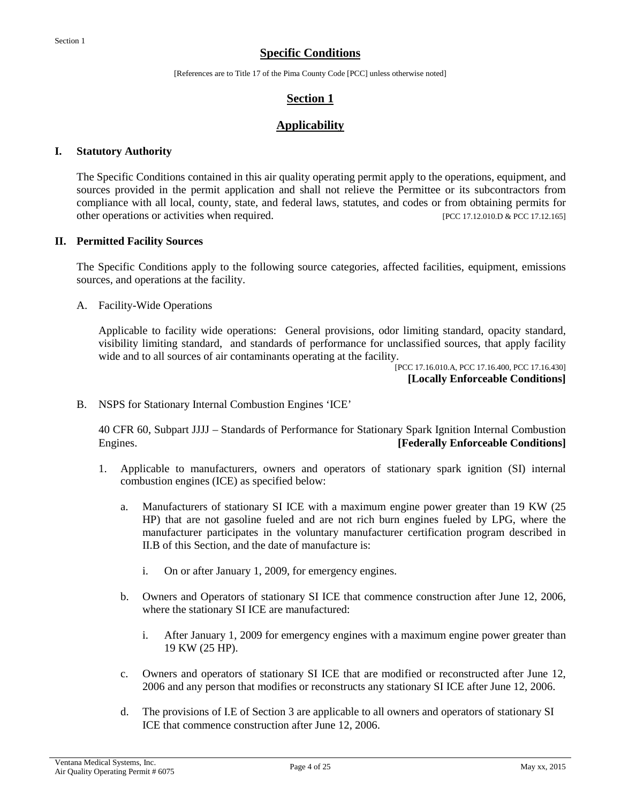#### **Specific Conditions**

[References are to Title 17 of the Pima County Code [PCC] unless otherwise noted]

#### **Section 1**

#### **Applicability**

#### **I. Statutory Authority**

The Specific Conditions contained in this air quality operating permit apply to the operations, equipment, and sources provided in the permit application and shall not relieve the Permittee or its subcontractors from compliance with all local, county, state, and federal laws, statutes, and codes or from obtaining permits for other operations or activities when required. [PCC 17.12.010.D & PCC 17.12.165]

#### **II. Permitted Facility Sources**

The Specific Conditions apply to the following source categories, affected facilities, equipment, emissions sources, and operations at the facility.

A. Facility-Wide Operations

Applicable to facility wide operations: General provisions, odor limiting standard, opacity standard, visibility limiting standard, and standards of performance for unclassified sources, that apply facility wide and to all sources of air contaminants operating at the facility.

[PCC 17.16.010.A, PCC 17.16.400, PCC 17.16.430] **[Locally Enforceable Conditions]**

B. NSPS for Stationary Internal Combustion Engines 'ICE'

40 CFR 60, Subpart JJJJ – Standards of Performance for Stationary Spark Ignition Internal Combustion Engines. **[Federally Enforceable Conditions]**

- 1. Applicable to manufacturers, owners and operators of stationary spark ignition (SI) internal combustion engines (ICE) as specified below:
	- a. Manufacturers of stationary SI ICE with a maximum engine power greater than 19 KW (25 HP) that are not gasoline fueled and are not rich burn engines fueled by LPG, where the manufacturer participates in the voluntary manufacturer certification program described in II.B of this Section, and the date of manufacture is:
		- i. On or after January 1, 2009, for emergency engines.
	- b. Owners and Operators of stationary SI ICE that commence construction after June 12, 2006, where the stationary SI ICE are manufactured:
		- i. After January 1, 2009 for emergency engines with a maximum engine power greater than 19 KW (25 HP).
	- c. Owners and operators of stationary SI ICE that are modified or reconstructed after June 12, 2006 and any person that modifies or reconstructs any stationary SI ICE after June 12, 2006.
	- d. The provisions of I.E of Section 3 are applicable to all owners and operators of stationary SI ICE that commence construction after June 12, 2006.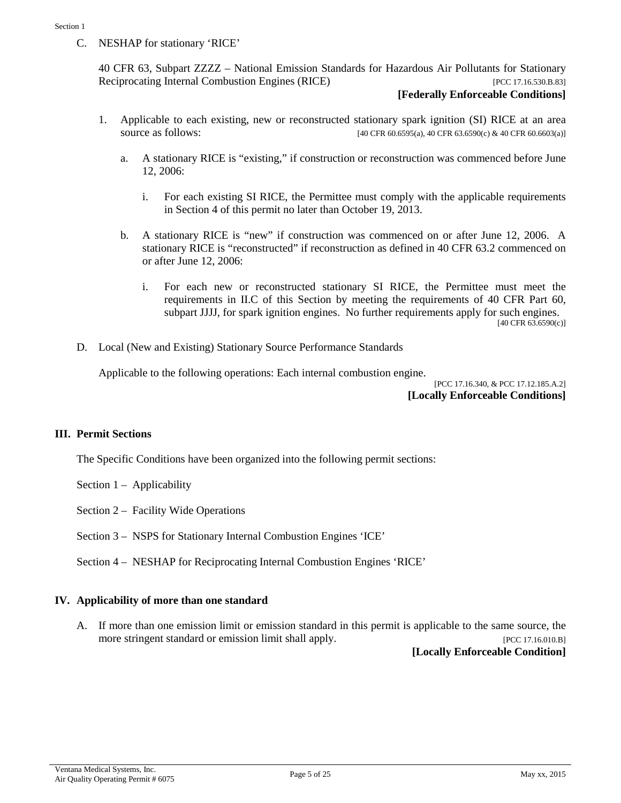C. NESHAP for stationary 'RICE'

40 CFR 63, Subpart ZZZZ – National Emission Standards for Hazardous Air Pollutants for Stationary Reciprocating Internal Combustion Engines (RICE) [PCC 17.16.530.B.83]

#### **[Federally Enforceable Conditions]**

- 1. Applicable to each existing, new or reconstructed stationary spark ignition (SI) RICE at an area source as follows: [40 CFR 60.6595(a), 40 CFR 63.6590(c) & 40 CFR 60.6603(a)]
	- a. A stationary RICE is "existing," if construction or reconstruction was commenced before June 12, 2006:
		- i. For each existing SI RICE, the Permittee must comply with the applicable requirements in Section 4 of this permit no later than October 19, 2013.
	- b. A stationary RICE is "new" if construction was commenced on or after June 12, 2006. A stationary RICE is "reconstructed" if reconstruction as defined in 40 CFR 63.2 commenced on or after June 12, 2006:
		- i. For each new or reconstructed stationary SI RICE, the Permittee must meet the requirements in II.C of this Section by meeting the requirements of 40 CFR Part 60, subpart JJJJ, for spark ignition engines. No further requirements apply for such engines. [40 CFR 63.6590(c)]
- D. Local (New and Existing) Stationary Source Performance Standards

Applicable to the following operations: Each internal combustion engine.

[PCC 17.16.340, & PCC 17.12.185.A.2] **[Locally Enforceable Conditions]**

#### **III. Permit Sections**

The Specific Conditions have been organized into the following permit sections:

- Section  $1 -$  Applicability
- Section 2 Facility Wide Operations
- Section 3 NSPS for Stationary Internal Combustion Engines 'ICE'
- Section 4 NESHAP for Reciprocating Internal Combustion Engines 'RICE'

#### **IV. Applicability of more than one standard**

A. If more than one emission limit or emission standard in this permit is applicable to the same source, the more stringent standard or emission limit shall apply. [PCC 17.16.010.B]

**[Locally Enforceable Condition]**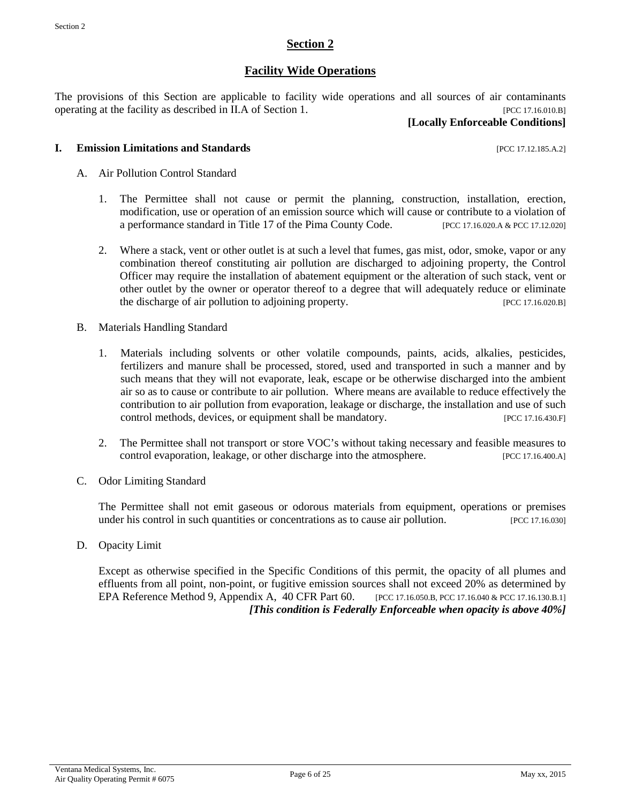#### **Section 2**

#### **Facility Wide Operations**

The provisions of this Section are applicable to facility wide operations and all sources of air contaminants operating at the facility as described in II.A of Section 1. [PCC 17.16.010.B]

#### **[Locally Enforceable Conditions]**

#### **I. Emission Limitations and Standards** [PCC 17.12.185.A.2]

- A. Air Pollution Control Standard
	- 1. The Permittee shall not cause or permit the planning, construction, installation, erection, modification, use or operation of an emission source which will cause or contribute to a violation of a performance standard in Title 17 of the Pima County Code. [PCC 17.16.020.A & PCC 17.12.020]
	- 2. Where a stack, vent or other outlet is at such a level that fumes, gas mist, odor, smoke, vapor or any combination thereof constituting air pollution are discharged to adjoining property, the Control Officer may require the installation of abatement equipment or the alteration of such stack, vent or other outlet by the owner or operator thereof to a degree that will adequately reduce or eliminate the discharge of air pollution to adjoining property. [PCC 17.16.020.B]
- B. Materials Handling Standard
	- 1. Materials including solvents or other volatile compounds, paints, acids, alkalies, pesticides, fertilizers and manure shall be processed, stored, used and transported in such a manner and by such means that they will not evaporate, leak, escape or be otherwise discharged into the ambient air so as to cause or contribute to air pollution. Where means are available to reduce effectively the contribution to air pollution from evaporation, leakage or discharge, the installation and use of such control methods, devices, or equipment shall be mandatory. [PCC 17.16.430.F]
	- 2. The Permittee shall not transport or store VOC's without taking necessary and feasible measures to control evaporation, leakage, or other discharge into the atmosphere. [PCC 17.16.400.A]
- C. Odor Limiting Standard

The Permittee shall not emit gaseous or odorous materials from equipment, operations or premises under his control in such quantities or concentrations as to cause air pollution. [PCC 17.16.030]

D. Opacity Limit

Except as otherwise specified in the Specific Conditions of this permit, the opacity of all plumes and effluents from all point, non-point, or fugitive emission sources shall not exceed 20% as determined by EPA Reference Method 9, Appendix A, 40 CFR Part 60. [PCC 17.16.050.B, PCC 17.16.040 & PCC 17.16.130.B.1] *[This condition is Federally Enforceable when opacity is above 40%]*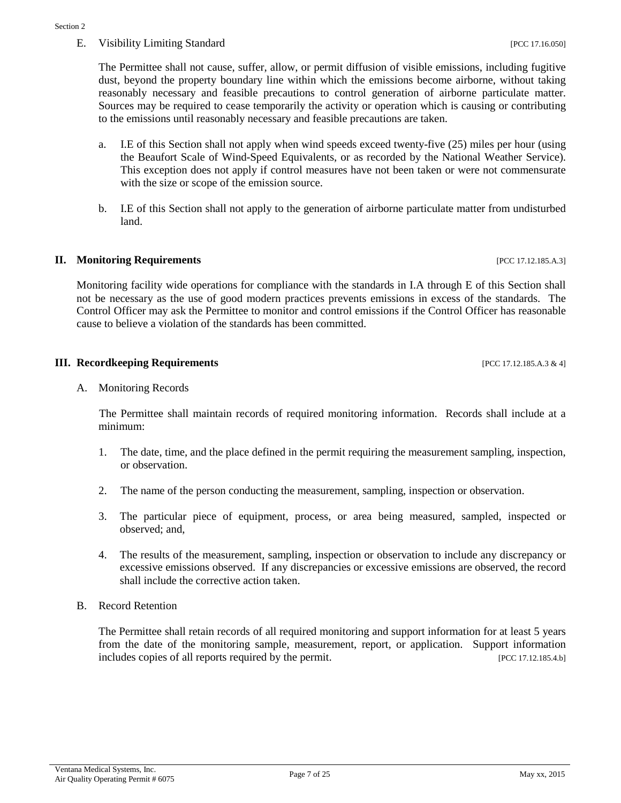The Permittee shall not cause, suffer, allow, or permit diffusion of visible emissions, including fugitive dust, beyond the property boundary line within which the emissions become airborne, without taking reasonably necessary and feasible precautions to control generation of airborne particulate matter. Sources may be required to cease temporarily the activity or operation which is causing or contributing to the emissions until reasonably necessary and feasible precautions are taken.

- a. I.E of this Section shall not apply when wind speeds exceed twenty-five (25) miles per hour (using the Beaufort Scale of Wind-Speed Equivalents, or as recorded by the National Weather Service). This exception does not apply if control measures have not been taken or were not commensurate with the size or scope of the emission source.
- b. I.E of this Section shall not apply to the generation of airborne particulate matter from undisturbed land.

#### **II. Monitoring Requirements II. All and Sequirements IPCC 17.12.185.A.3**]

Monitoring facility wide operations for compliance with the standards in I.A through E of this Section shall not be necessary as the use of good modern practices prevents emissions in excess of the standards. The Control Officer may ask the Permittee to monitor and control emissions if the Control Officer has reasonable cause to believe a violation of the standards has been committed.

#### **III. Recordkeeping Requirements** [PCC 17.12.185.A.3 & 4]

A. Monitoring Records

The Permittee shall maintain records of required monitoring information. Records shall include at a minimum:

- 1. The date, time, and the place defined in the permit requiring the measurement sampling, inspection, or observation.
- 2. The name of the person conducting the measurement, sampling, inspection or observation.
- 3. The particular piece of equipment, process, or area being measured, sampled, inspected or observed; and,
- 4. The results of the measurement, sampling, inspection or observation to include any discrepancy or excessive emissions observed. If any discrepancies or excessive emissions are observed, the record shall include the corrective action taken.
- B. Record Retention

The Permittee shall retain records of all required monitoring and support information for at least 5 years from the date of the monitoring sample, measurement, report, or application. Support information includes copies of all reports required by the permit. [PCC 17.12.185.4.b]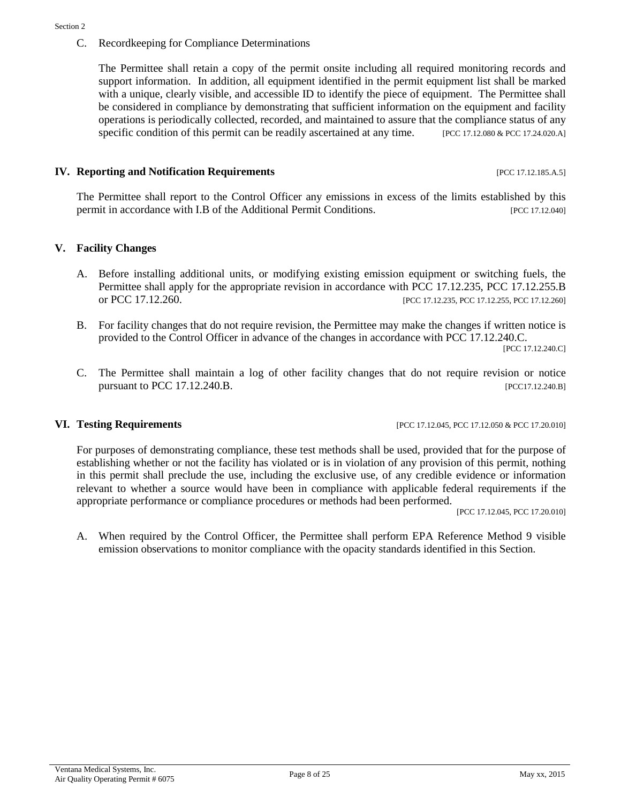C. Recordkeeping for Compliance Determinations

The Permittee shall retain a copy of the permit onsite including all required monitoring records and support information. In addition, all equipment identified in the permit equipment list shall be marked with a unique, clearly visible, and accessible ID to identify the piece of equipment. The Permittee shall be considered in compliance by demonstrating that sufficient information on the equipment and facility operations is periodically collected, recorded, and maintained to assure that the compliance status of any specific condition of this permit can be readily ascertained at any time. [PCC 17.12.080 & PCC 17.24.020.A]

#### **IV. Reporting and Notification Requirements** [PCC 17.12.185.A.5]

The Permittee shall report to the Control Officer any emissions in excess of the limits established by this permit in accordance with I.B of the Additional Permit Conditions. [PCC 17.12.040]

#### **V. Facility Changes**

- A. Before installing additional units, or modifying existing emission equipment or switching fuels, the Permittee shall apply for the appropriate revision in accordance with PCC 17.12.235, PCC 17.12.255.B or PCC 17.12.260. [PCC 17.12.235, PCC 17.12.255, PCC 17.12.260]
- B. For facility changes that do not require revision, the Permittee may make the changes if written notice is provided to the Control Officer in advance of the changes in accordance with PCC 17.12.240.C. [PCC 17.12.240.C]
- C. The Permittee shall maintain a log of other facility changes that do not require revision or notice pursuant to PCC 17.12.240.B. [PCC17.12.240.B]

#### **VI. Testing Requirements [PCC 17.12.045, PCC 17.12.050 & PCC 17.20.010]**

For purposes of demonstrating compliance, these test methods shall be used, provided that for the purpose of establishing whether or not the facility has violated or is in violation of any provision of this permit, nothing in this permit shall preclude the use, including the exclusive use, of any credible evidence or information relevant to whether a source would have been in compliance with applicable federal requirements if the appropriate performance or compliance procedures or methods had been performed.

[PCC 17.12.045, PCC 17.20.010]

A. When required by the Control Officer, the Permittee shall perform EPA Reference Method 9 visible emission observations to monitor compliance with the opacity standards identified in this Section.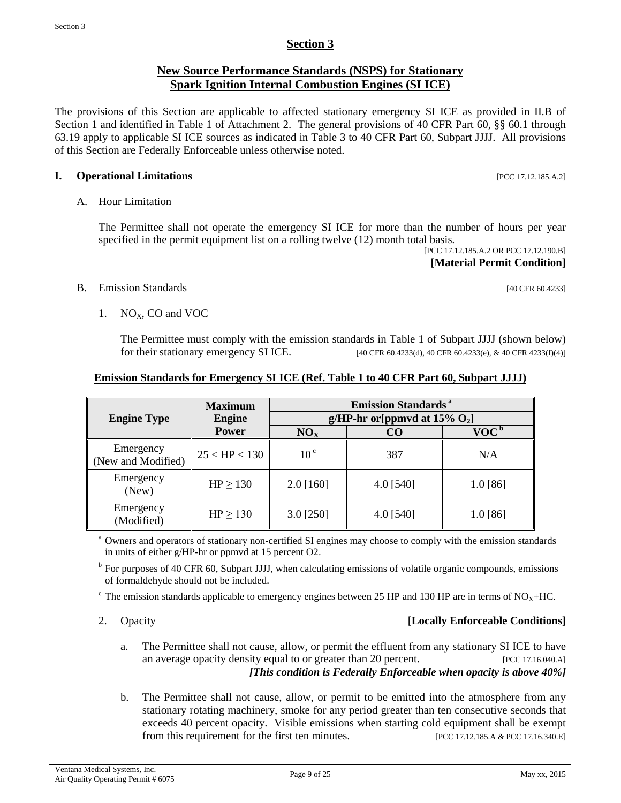### **Section 3**

#### **New Source Performance Standards (NSPS) for Stationary Spark Ignition Internal Combustion Engines (SI ICE)**

The provisions of this Section are applicable to affected stationary emergency SI ICE as provided in II.B of Section 1 and identified in Table 1 of Attachment 2. The general provisions of 40 CFR Part 60, §§ 60.1 through 63.19 apply to applicable SI ICE sources as indicated in Table 3 to 40 CFR Part 60, Subpart JJJJ. All provisions of this Section are Federally Enforceable unless otherwise noted.

#### **I. Operational Limitations** [PCC 17.12.185.A.2]

#### A. Hour Limitation

The Permittee shall not operate the emergency SI ICE for more than the number of hours per year specified in the permit equipment list on a rolling twelve (12) month total basis.

[PCC 17.12.185.A.2 OR PCC 17.12.190.B] **[Material Permit Condition]**

#### B. Emission Standards [40 CFR 60.4233]

1.  $NO<sub>x</sub>$ , CO and VOC

The Permittee must comply with the emission standards in Table 1 of Subpart JJJJ (shown below) for their stationary emergency SI ICE. [40 CFR 60.4233(d), 40 CFR 60.4233(e), & 40 CFR 4233(f)(4)]

#### **Emission Standards for Emergency SI ICE (Ref. Table 1 to 40 CFR Part 60, Subpart JJJJ)**

|                                 | <b>Maximum</b>   |                                              | <b>Emission Standards</b> <sup>a</sup> |                             |  |
|---------------------------------|------------------|----------------------------------------------|----------------------------------------|-----------------------------|--|
| <b>Engine Type</b>              | <b>Engine</b>    | g/HP-hr or [ppmvd at $15\%$ O <sub>2</sub> ] |                                        |                             |  |
|                                 | <b>Power</b>     | NO <sub>x</sub>                              | CO                                     | $\mathbf{VOC}^{\mathbf{b}}$ |  |
| Emergency<br>(New and Modified) | $25 < H$ P < 130 | 10 <sup>c</sup>                              | 387                                    | N/A                         |  |
| Emergency<br>(New)              | $HP \ge 130$     | $2.0$ [160]                                  | 4.0 [540]                              | $1.0$ [86]                  |  |
| Emergency<br>(Modified)         | $HP \ge 130$     | 3.0 [250]                                    | 4.0 [540]                              | 1.0 [86]                    |  |

<sup>a</sup> Owners and operators of stationary non-certified SI engines may choose to comply with the emission standards in units of either g/HP-hr or ppmvd at 15 percent O2.

<sup>b</sup> For purposes of 40 CFR 60, Subpart JJJJ, when calculating emissions of volatile organic compounds, emissions of formaldehyde should not be included.

 $\textdegree$  The emission standards applicable to emergency engines between 25 HP and 130 HP are in terms of NO<sub>X</sub>+HC.

#### 2. Opacity [**Locally Enforceable Conditions]**

- a. The Permittee shall not cause, allow, or permit the effluent from any stationary SI ICE to have an average opacity density equal to or greater than 20 percent. [PCC 17.16.040.A] *[This condition is Federally Enforceable when opacity is above 40%]*
- b. The Permittee shall not cause, allow, or permit to be emitted into the atmosphere from any stationary rotating machinery, smoke for any period greater than ten consecutive seconds that exceeds 40 percent opacity. Visible emissions when starting cold equipment shall be exempt from this requirement for the first ten minutes. [PCC 17.12.185.A & PCC 17.16.340.E]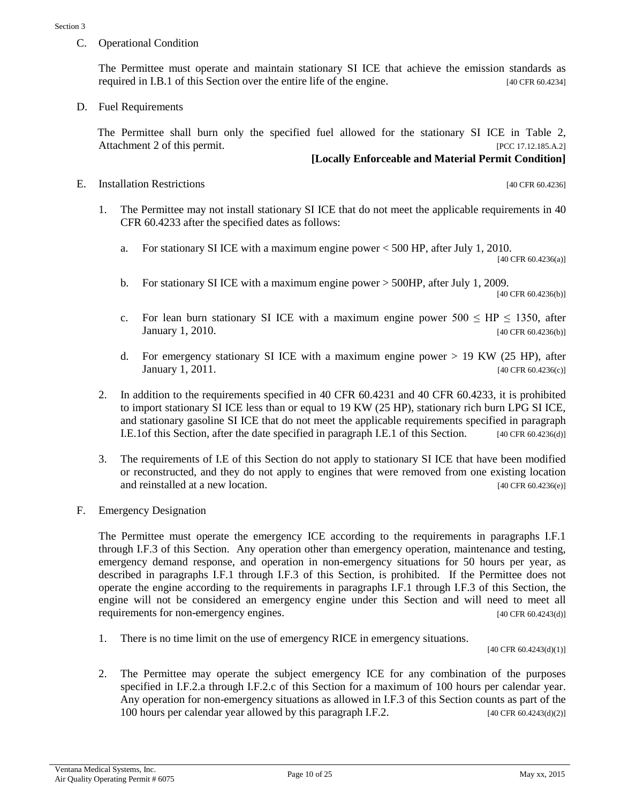C. Operational Condition

The Permittee must operate and maintain stationary SI ICE that achieve the emission standards as required in I.B.1 of this Section over the entire life of the engine. [40 CFR 60.4234]

D. Fuel Requirements

The Permittee shall burn only the specified fuel allowed for the stationary SI ICE in Table 2, Attachment 2 of this permit. [PCC 17.12.185.A.2]

#### **[Locally Enforceable and Material Permit Condition]**

E. Installation Restrictions [40 CFR 60.4236]

- 1. The Permittee may not install stationary SI ICE that do not meet the applicable requirements in 40 CFR 60.4233 after the specified dates as follows:
	- a. For stationary SI ICE with a maximum engine power < 500 HP, after July 1, 2010.

[40 CFR 60.4236(a)]

- b. For stationary SI ICE with a maximum engine power > 500HP, after July 1, 2009. [40 CFR 60.4236(b)]
- c. For lean burn stationary SI ICE with a maximum engine power  $500 \leq HP \leq 1350$ , after **January 1, 2010.** [40 CFR 60.4236(b)]
- d. For emergency stationary SI ICE with a maximum engine power > 19 KW (25 HP), after January 1, 2011. [40 CFR 60.4236(c)]
- 2. In addition to the requirements specified in 40 CFR 60.4231 and 40 CFR 60.4233, it is prohibited to import stationary SI ICE less than or equal to 19 KW (25 HP), stationary rich burn LPG SI ICE, and stationary gasoline SI ICE that do not meet the applicable requirements specified in paragraph I.E.1of this Section, after the date specified in paragraph I.E.1 of this Section. [40 CFR 60.4236(d)]
- 3. The requirements of I.E of this Section do not apply to stationary SI ICE that have been modified or reconstructed, and they do not apply to engines that were removed from one existing location and reinstalled at a new location. **Example 20** CFR 60.4236(e)]
- F. Emergency Designation

The Permittee must operate the emergency ICE according to the requirements in paragraphs I.F.1 through I.F.3 of this Section. Any operation other than emergency operation, maintenance and testing, emergency demand response, and operation in non-emergency situations for 50 hours per year, as described in paragraphs I.F.1 through I.F.3 of this Section, is prohibited. If the Permittee does not operate the engine according to the requirements in paragraphs I.F.1 through I.F.3 of this Section, the engine will not be considered an emergency engine under this Section and will need to meet all requirements for non-emergency engines. [40 CFR 60.4243(d)]

1. There is no time limit on the use of emergency RICE in emergency situations.

[40 CFR 60.4243(d)(1)]

2. The Permittee may operate the subject emergency ICE for any combination of the purposes specified in I.F.2.a through I.F.2.c of this Section for a maximum of 100 hours per calendar year. Any operation for non-emergency situations as allowed in I.F.3 of this Section counts as part of the 100 hours per calendar year allowed by this paragraph I.F.2. [40 CFR 60.4243(d)(2)]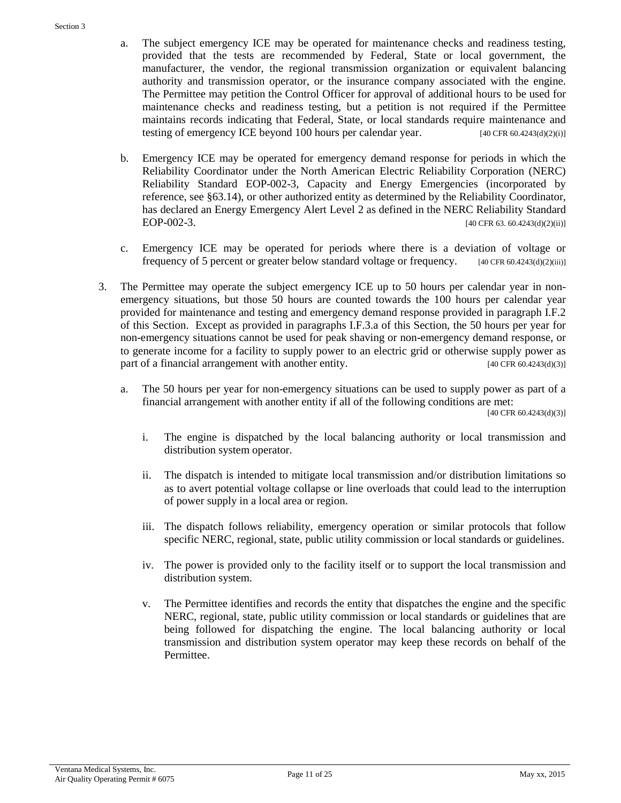- a. The subject emergency ICE may be operated for maintenance checks and readiness testing, provided that the tests are recommended by Federal, State or local government, the manufacturer, the vendor, the regional transmission organization or equivalent balancing authority and transmission operator, or the insurance company associated with the engine. The Permittee may petition the Control Officer for approval of additional hours to be used for maintenance checks and readiness testing, but a petition is not required if the Permittee maintains records indicating that Federal, State, or local standards require maintenance and testing of emergency ICE beyond 100 hours per calendar year. [40 CFR 60.4243(d)(2)(i)]
- b. Emergency ICE may be operated for emergency demand response for periods in which the Reliability Coordinator under the North American Electric Reliability Corporation (NERC) Reliability Standard EOP-002-3, Capacity and Energy Emergencies (incorporated by reference, see §63.14), or other authorized entity as determined by the Reliability Coordinator, has declared an Energy Emergency Alert Level 2 as defined in the NERC Reliability Standard EOP-002-3. [40 CFR 63. 60.4243(d)(2)(ii)]
- c. Emergency ICE may be operated for periods where there is a deviation of voltage or frequency of 5 percent or greater below standard voltage or frequency.  $[40 \text{ CFR } 60.4243(d)(2)(iii)]$
- 3. The Permittee may operate the subject emergency ICE up to 50 hours per calendar year in nonemergency situations, but those 50 hours are counted towards the 100 hours per calendar year provided for maintenance and testing and emergency demand response provided in paragraph I.F.2 of this Section. Except as provided in paragraphs I.F.3.a of this Section, the 50 hours per year for non-emergency situations cannot be used for peak shaving or non-emergency demand response, or to generate income for a facility to supply power to an electric grid or otherwise supply power as part of a financial arrangement with another entity. [40 CFR 60.4243(d)(3)]
	- a. The 50 hours per year for non-emergency situations can be used to supply power as part of a financial arrangement with another entity if all of the following conditions are met:

[40 CFR 60.4243(d)(3)]

- i. The engine is dispatched by the local balancing authority or local transmission and distribution system operator.
- ii. The dispatch is intended to mitigate local transmission and/or distribution limitations so as to avert potential voltage collapse or line overloads that could lead to the interruption of power supply in a local area or region.
- iii. The dispatch follows reliability, emergency operation or similar protocols that follow specific NERC, regional, state, public utility commission or local standards or guidelines.
- iv. The power is provided only to the facility itself or to support the local transmission and distribution system.
- v. The Permittee identifies and records the entity that dispatches the engine and the specific NERC, regional, state, public utility commission or local standards or guidelines that are being followed for dispatching the engine. The local balancing authority or local transmission and distribution system operator may keep these records on behalf of the Permittee.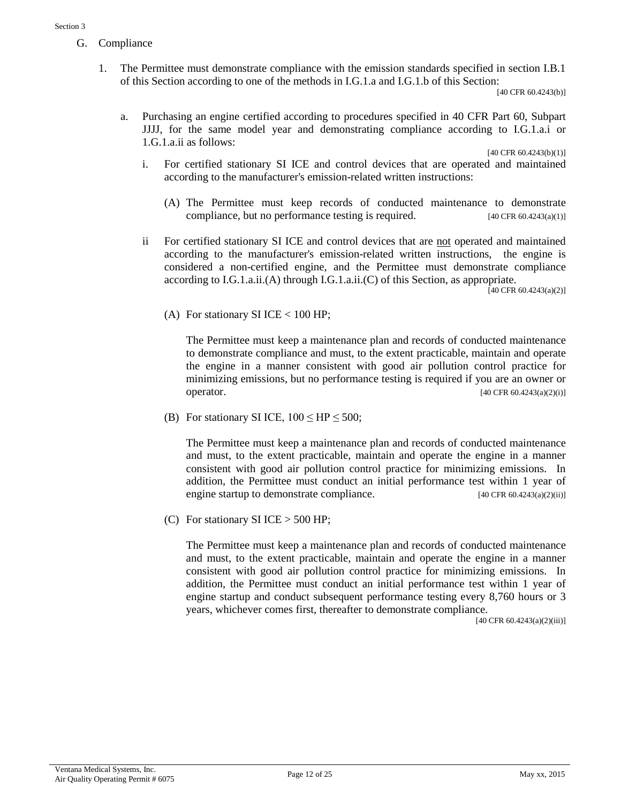- G. Compliance
	- 1. The Permittee must demonstrate compliance with the emission standards specified in section I.B.1 of this Section according to one of the methods in I.G.1.a and I.G.1.b of this Section:

[40 CFR 60.4243(b)]

a. Purchasing an engine certified according to procedures specified in 40 CFR Part 60, Subpart JJJJ, for the same model year and demonstrating compliance according to I.G.1.a.i or 1.G.1.a.ii as follows:

[40 CFR 60.4243(b)(1)]

- i. For certified stationary SI ICE and control devices that are operated and maintained according to the manufacturer's emission-related written instructions:
	- (A) The Permittee must keep records of conducted maintenance to demonstrate compliance, but no performance testing is required. [40 CFR 60.4243(a)(1)]
- ii For certified stationary SI ICE and control devices that are not operated and maintained according to the manufacturer's emission-related written instructions, the engine is considered a non-certified engine, and the Permittee must demonstrate compliance according to I.G.1.a.ii.(A) through I.G.1.a.ii.(C) of this Section, as appropriate.

 $[40 \text{ CFR } 60.4243(a)(2)]$ 

(A) For stationary SI ICE  $< 100$  HP;

The Permittee must keep a maintenance plan and records of conducted maintenance to demonstrate compliance and must, to the extent practicable, maintain and operate the engine in a manner consistent with good air pollution control practice for minimizing emissions, but no performance testing is required if you are an owner or operator. [40 CFR 60.4243(a)(2)(i)]

(B) For stationary SI ICE,  $100 \leq HP \leq 500$ ;

The Permittee must keep a maintenance plan and records of conducted maintenance and must, to the extent practicable, maintain and operate the engine in a manner consistent with good air pollution control practice for minimizing emissions. In addition, the Permittee must conduct an initial performance test within 1 year of engine startup to demonstrate compliance. [40 CFR 60.4243(a)(2)(ii)]

(C) For stationary SI ICE  $>$  500 HP;

The Permittee must keep a maintenance plan and records of conducted maintenance and must, to the extent practicable, maintain and operate the engine in a manner consistent with good air pollution control practice for minimizing emissions. In addition, the Permittee must conduct an initial performance test within 1 year of engine startup and conduct subsequent performance testing every 8,760 hours or 3 years, whichever comes first, thereafter to demonstrate compliance.

[40 CFR 60.4243(a)(2)(iii)]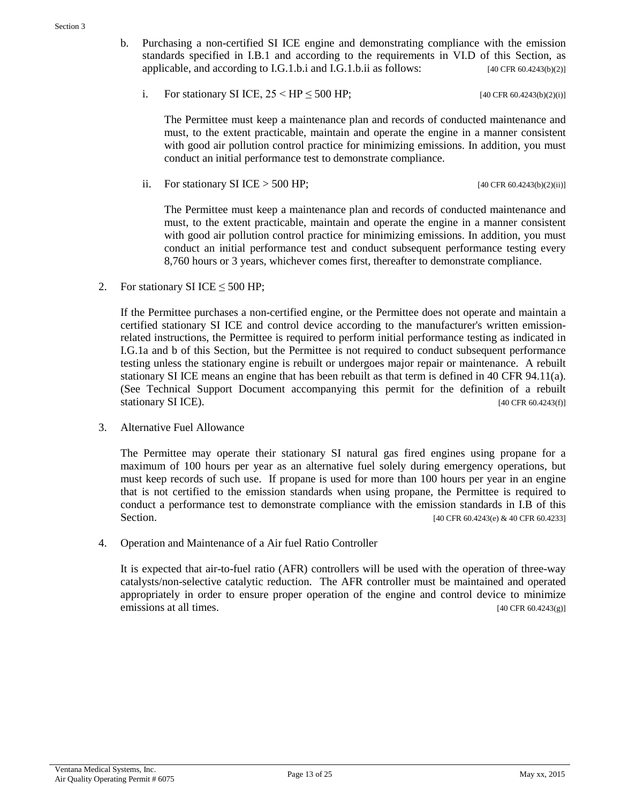- b. Purchasing a non-certified SI ICE engine and demonstrating compliance with the emission standards specified in I.B.1 and according to the requirements in VI.D of this Section, as applicable, and according to I.G.1.b.i and I.G.1.b.ii as follows:  $[40 \text{ CFR } 60.4243(b)/2]$ 
	- i. For stationary SI ICE,  $25 < HP \le 500 HP$ ; [40 CFR 60.4243(b)(2)(i)]

The Permittee must keep a maintenance plan and records of conducted maintenance and must, to the extent practicable, maintain and operate the engine in a manner consistent with good air pollution control practice for minimizing emissions. In addition, you must conduct an initial performance test to demonstrate compliance.

ii. For stationary SI ICE > 500 HP; [40 CFR 60.4243(b)(2)(ii)]

The Permittee must keep a maintenance plan and records of conducted maintenance and must, to the extent practicable, maintain and operate the engine in a manner consistent with good air pollution control practice for minimizing emissions. In addition, you must conduct an initial performance test and conduct subsequent performance testing every 8,760 hours or 3 years, whichever comes first, thereafter to demonstrate compliance.

2. For stationary SI ICE  $\leq$  500 HP;

If the Permittee purchases a non-certified engine, or the Permittee does not operate and maintain a certified stationary SI ICE and control device according to the manufacturer's written emissionrelated instructions, the Permittee is required to perform initial performance testing as indicated in I.G.1a and b of this Section, but the Permittee is not required to conduct subsequent performance testing unless the stationary engine is rebuilt or undergoes major repair or maintenance. A rebuilt stationary SI ICE means an engine that has been rebuilt as that term is defined in 40 CFR 94.11(a). (See Technical Support Document accompanying this permit for the definition of a rebuilt stationary SI ICE). [40 CFR 60.4243(f)]

3. Alternative Fuel Allowance

The Permittee may operate their stationary SI natural gas fired engines using propane for a maximum of 100 hours per year as an alternative fuel solely during emergency operations, but must keep records of such use. If propane is used for more than 100 hours per year in an engine that is not certified to the emission standards when using propane, the Permittee is required to conduct a performance test to demonstrate compliance with the emission standards in I.B of this Section. [40 CFR 60.4243(e) & 40 CFR 60.4233]

4. Operation and Maintenance of a Air fuel Ratio Controller

It is expected that air-to-fuel ratio (AFR) controllers will be used with the operation of three-way catalysts/non-selective catalytic reduction. The AFR controller must be maintained and operated appropriately in order to ensure proper operation of the engine and control device to minimize emissions at all times. [40 CFR 60.4243(g)]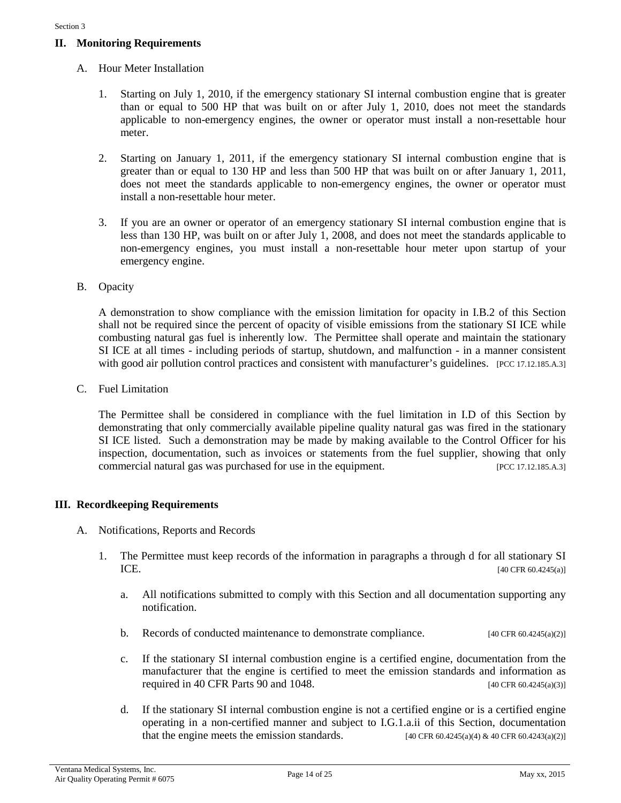#### **II. Monitoring Requirements**

- A. Hour Meter Installation
	- 1. Starting on July 1, 2010, if the emergency stationary SI internal combustion engine that is greater than or equal to 500 HP that was built on or after July 1, 2010, does not meet the standards applicable to non-emergency engines, the owner or operator must install a non-resettable hour meter.
	- 2. Starting on January 1, 2011, if the emergency stationary SI internal combustion engine that is greater than or equal to 130 HP and less than 500 HP that was built on or after January 1, 2011, does not meet the standards applicable to non-emergency engines, the owner or operator must install a non-resettable hour meter.
	- 3. If you are an owner or operator of an emergency stationary SI internal combustion engine that is less than 130 HP, was built on or after July 1, 2008, and does not meet the standards applicable to non-emergency engines, you must install a non-resettable hour meter upon startup of your emergency engine.
- B. Opacity

A demonstration to show compliance with the emission limitation for opacity in I.B.2 of this Section shall not be required since the percent of opacity of visible emissions from the stationary SI ICE while combusting natural gas fuel is inherently low. The Permittee shall operate and maintain the stationary SI ICE at all times - including periods of startup, shutdown, and malfunction - in a manner consistent with good air pollution control practices and consistent with manufacturer's guidelines. [PCC 17.12.185.A.3]

C. Fuel Limitation

The Permittee shall be considered in compliance with the fuel limitation in I.D of this Section by demonstrating that only commercially available pipeline quality natural gas was fired in the stationary SI ICE listed. Such a demonstration may be made by making available to the Control Officer for his inspection, documentation, such as invoices or statements from the fuel supplier, showing that only commercial natural gas was purchased for use in the equipment. [PCC 17.12.185.A.3]

#### **III. Recordkeeping Requirements**

- A. Notifications, Reports and Records
	- 1. The Permittee must keep records of the information in paragraphs a through d for all stationary SI  $ICE.$  [40 CFR 60.4245(a)]
		- a. All notifications submitted to comply with this Section and all documentation supporting any notification.
		- b. Records of conducted maintenance to demonstrate compliance.  $[40 \text{ CFR } 60.4245(a/2)]$
		- c. If the stationary SI internal combustion engine is a certified engine, documentation from the manufacturer that the engine is certified to meet the emission standards and information as required in 40 CFR Parts 90 and 1048. [40 CFR 60.4245(a)(3)]
		- d. If the stationary SI internal combustion engine is not a certified engine or is a certified engine operating in a non-certified manner and subject to I.G.1.a.ii of this Section, documentation that the engine meets the emission standards. [40 CFR 60.4245(a)(4) & 40 CFR 60.4243(a)(2)]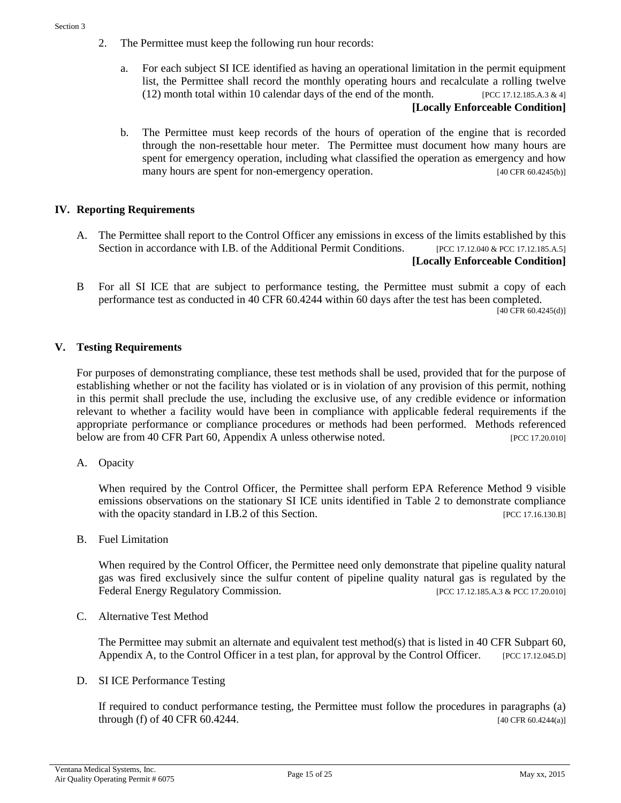- 2. The Permittee must keep the following run hour records:
	- a. For each subject SI ICE identified as having an operational limitation in the permit equipment list, the Permittee shall record the monthly operating hours and recalculate a rolling twelve (12) month total within 10 calendar days of the end of the month. [PCC 17.12.185.A.3 & 4] **[Locally Enforceable Condition]**
	- b. The Permittee must keep records of the hours of operation of the engine that is recorded through the non-resettable hour meter. The Permittee must document how many hours are spent for emergency operation, including what classified the operation as emergency and how many hours are spent for non-emergency operation. [40 CFR 60.4245(b)]

#### **IV. Reporting Requirements**

- A. The Permittee shall report to the Control Officer any emissions in excess of the limits established by this Section in accordance with I.B. of the Additional Permit Conditions. [PCC 17.12.040 & PCC 17.12.185.A.5] **[Locally Enforceable Condition]**
- B For all SI ICE that are subject to performance testing, the Permittee must submit a copy of each performance test as conducted in 40 CFR 60.4244 within 60 days after the test has been completed. [40 CFR 60.4245(d)]

#### **V. Testing Requirements**

For purposes of demonstrating compliance, these test methods shall be used, provided that for the purpose of establishing whether or not the facility has violated or is in violation of any provision of this permit, nothing in this permit shall preclude the use, including the exclusive use, of any credible evidence or information relevant to whether a facility would have been in compliance with applicable federal requirements if the appropriate performance or compliance procedures or methods had been performed. Methods referenced below are from 40 CFR Part 60, Appendix A unless otherwise noted. [PCC 17.20.010]

A. Opacity

When required by the Control Officer, the Permittee shall perform EPA Reference Method 9 visible emissions observations on the stationary SI ICE units identified in Table 2 to demonstrate compliance with the opacity standard in I.B.2 of this Section. [PCC 17.16.130.B]

B. Fuel Limitation

When required by the Control Officer, the Permittee need only demonstrate that pipeline quality natural gas was fired exclusively since the sulfur content of pipeline quality natural gas is regulated by the Federal Energy Regulatory Commission. [PCC 17.12.185.A.3 & PCC 17.20.010]

C. Alternative Test Method

The Permittee may submit an alternate and equivalent test method(s) that is listed in 40 CFR Subpart 60, Appendix A, to the Control Officer in a test plan, for approval by the Control Officer. [PCC 17.12.045.D]

D. SI ICE Performance Testing

If required to conduct performance testing, the Permittee must follow the procedures in paragraphs (a) through (f) of 40 CFR 60.4244. [40 CFR 60.4244(a)]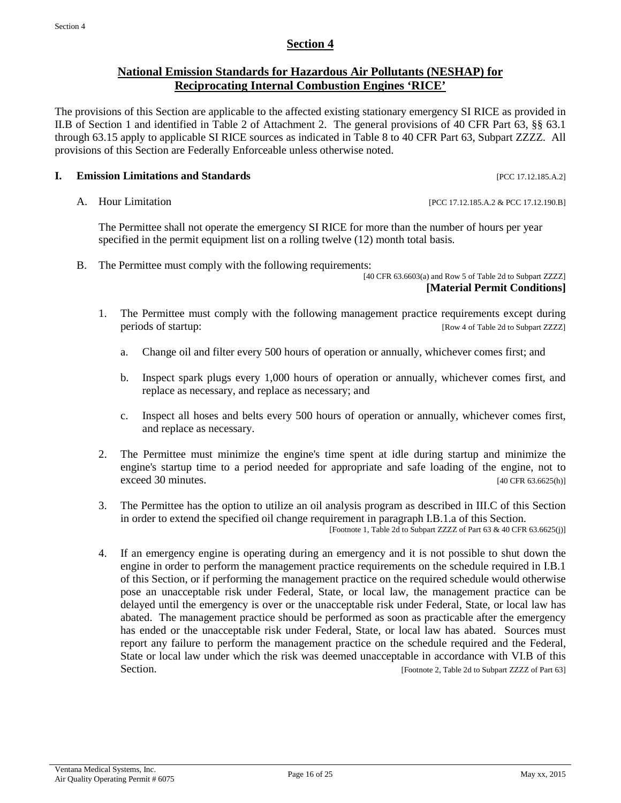#### **Section 4**

#### **National Emission Standards for Hazardous Air Pollutants (NESHAP) for Reciprocating Internal Combustion Engines 'RICE'**

The provisions of this Section are applicable to the affected existing stationary emergency SI RICE as provided in II.B of Section 1 and identified in Table 2 of Attachment 2. The general provisions of 40 CFR Part 63, §§ 63.1 through 63.15 apply to applicable SI RICE sources as indicated in Table 8 to 40 CFR Part 63, Subpart ZZZZ. All provisions of this Section are Federally Enforceable unless otherwise noted.

#### **I. Emission Limitations and Standards Exercíal Exercíal Exercíal Exercíal Exercíal Exercíal Exercíal Exercíal Exercíal Exercíal Exercíal Exercíal Exercíal Exercíal Exercíal Exercíal Exercíal Exercíal Exercíal Exercíal**

A. Hour Limitation [PCC 17.12.185.A.2 & PCC 17.12.190.B]

The Permittee shall not operate the emergency SI RICE for more than the number of hours per year specified in the permit equipment list on a rolling twelve (12) month total basis.

B. The Permittee must comply with the following requirements:

[40 CFR 63.6603(a) and Row 5 of Table 2d to Subpart ZZZZ] **[Material Permit Conditions]**

- 1. The Permittee must comply with the following management practice requirements except during periods of startup: [Row 4 of Table 2d to Subpart ZZZZ]
	- a. Change oil and filter every 500 hours of operation or annually, whichever comes first; and
	- b. Inspect spark plugs every 1,000 hours of operation or annually, whichever comes first, and replace as necessary, and replace as necessary; and
	- c. Inspect all hoses and belts every 500 hours of operation or annually, whichever comes first, and replace as necessary.
- 2. The Permittee must minimize the engine's time spent at idle during startup and minimize the engine's startup time to a period needed for appropriate and safe loading of the engine, not to  $e \, \text{e} \, \text{ce} \, \text{e} \, \text{f} \, \text{40} \, \text{CFR} \, \text{63.6625(h)}$
- 3. The Permittee has the option to utilize an oil analysis program as described in III.C of this Section in order to extend the specified oil change requirement in paragraph I.B.1.a of this Section. [Footnote 1, Table 2d to Subpart ZZZZ of Part 63 & 40 CFR 63.6625(j)]
- 4. If an emergency engine is operating during an emergency and it is not possible to shut down the engine in order to perform the management practice requirements on the schedule required in I.B.1 of this Section, or if performing the management practice on the required schedule would otherwise pose an unacceptable risk under Federal, State, or local law, the management practice can be delayed until the emergency is over or the unacceptable risk under Federal, State, or local law has abated. The management practice should be performed as soon as practicable after the emergency has ended or the unacceptable risk under Federal, State, or local law has abated. Sources must report any failure to perform the management practice on the schedule required and the Federal, State or local law under which the risk was deemed unacceptable in accordance with VI.B of this Section. [Footnote 2, Table 2d to Subpart ZZZZ of Part 63]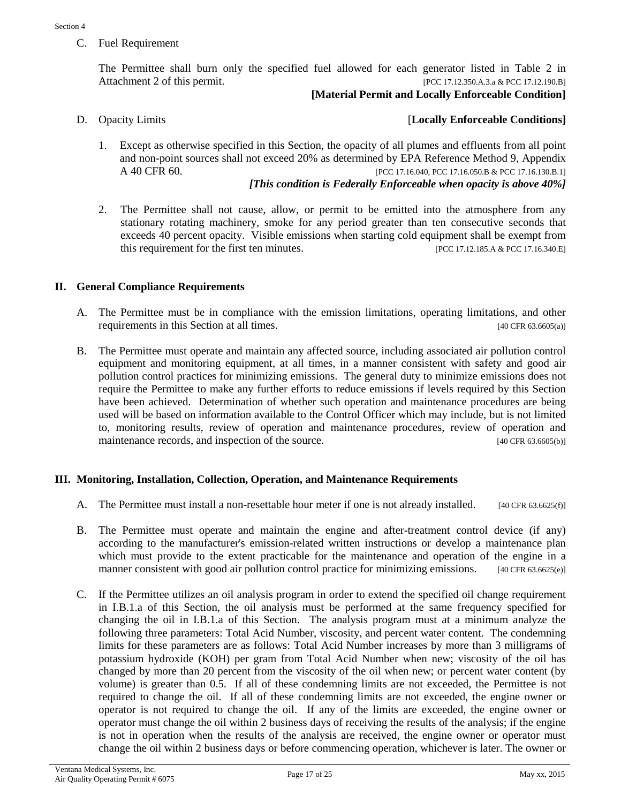C. Fuel Requirement

The Permittee shall burn only the specified fuel allowed for each generator listed in Table 2 in Attachment 2 of this permit. [PCC 17.12.350.A.3.a & PCC 17.12.190.B]

#### **[Material Permit and Locally Enforceable Condition]**

#### D. Opacity Limits [**Locally Enforceable Conditions]**

1. Except as otherwise specified in this Section, the opacity of all plumes and effluents from all point and non-point sources shall not exceed 20% as determined by EPA Reference Method 9, Appendix A 40 CFR 60. **[PCC 17.16.040, PCC 17.16.050.B** & PCC 17.16.130.B.1]

#### *[This condition is Federally Enforceable when opacity is above 40%]*

2. The Permittee shall not cause, allow, or permit to be emitted into the atmosphere from any stationary rotating machinery, smoke for any period greater than ten consecutive seconds that exceeds 40 percent opacity. Visible emissions when starting cold equipment shall be exempt from this requirement for the first ten minutes. [PCC 17.12.185.A & PCC 17.16.340.E]

#### **II. General Compliance Requirements**

- A. The Permittee must be in compliance with the emission limitations, operating limitations, and other requirements in this Section at all times. [40 CFR 63.6605(a)]
- B. The Permittee must operate and maintain any affected source, including associated air pollution control equipment and monitoring equipment, at all times, in a manner consistent with safety and good air pollution control practices for minimizing emissions. The general duty to minimize emissions does not require the Permittee to make any further efforts to reduce emissions if levels required by this Section have been achieved. Determination of whether such operation and maintenance procedures are being used will be based on information available to the Control Officer which may include, but is not limited to, monitoring results, review of operation and maintenance procedures, review of operation and maintenance records, and inspection of the source. [40 CFR 63.6605(b)]

#### **III. Monitoring, Installation, Collection, Operation, and Maintenance Requirements**

- A. The Permittee must install a non-resettable hour meter if one is not already installed. [40 CFR 63.6625(f)]
- B. The Permittee must operate and maintain the engine and after-treatment control device (if any) according to the manufacturer's emission-related written instructions or develop a maintenance plan which must provide to the extent practicable for the maintenance and operation of the engine in a manner consistent with good air pollution control practice for minimizing emissions. [40 CFR 63.6625(e)]
- C. If the Permittee utilizes an oil analysis program in order to extend the specified oil change requirement in I.B.1.a of this Section, the oil analysis must be performed at the same frequency specified for changing the oil in I.B.1.a of this Section. The analysis program must at a minimum analyze the following three parameters: Total Acid Number, viscosity, and percent water content. The condemning limits for these parameters are as follows: Total Acid Number increases by more than 3 milligrams of potassium hydroxide (KOH) per gram from Total Acid Number when new; viscosity of the oil has changed by more than 20 percent from the viscosity of the oil when new; or percent water content (by volume) is greater than 0.5. If all of these condemning limits are not exceeded, the Permittee is not required to change the oil. If all of these condemning limits are not exceeded, the engine owner or operator is not required to change the oil. If any of the limits are exceeded, the engine owner or operator must change the oil within 2 business days of receiving the results of the analysis; if the engine is not in operation when the results of the analysis are received, the engine owner or operator must change the oil within 2 business days or before commencing operation, whichever is later. The owner or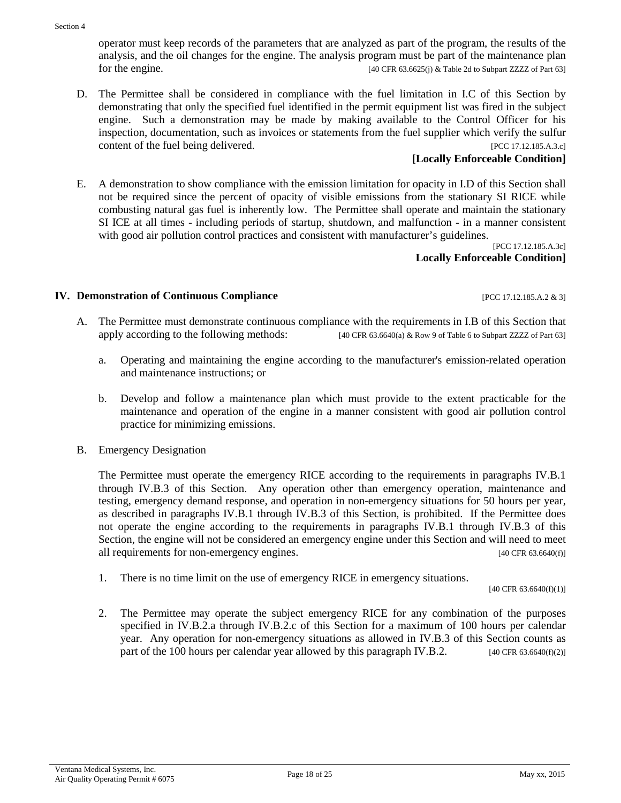#### content of the fuel being delivered. [PCC 17.12.185.A.3.c] **[Locally Enforceable Condition]**

E. A demonstration to show compliance with the emission limitation for opacity in I.D of this Section shall not be required since the percent of opacity of visible emissions from the stationary SI RICE while combusting natural gas fuel is inherently low. The Permittee shall operate and maintain the stationary SI ICE at all times - including periods of startup, shutdown, and malfunction - in a manner consistent with good air pollution control practices and consistent with manufacturer's guidelines.

operator must keep records of the parameters that are analyzed as part of the program, the results of the analysis, and the oil changes for the engine. The analysis program must be part of the maintenance plan for the engine. [40 CFR 63.6625(j) & Table 2d to Subpart ZZZZ of Part 63]

D. The Permittee shall be considered in compliance with the fuel limitation in I.C of this Section by demonstrating that only the specified fuel identified in the permit equipment list was fired in the subject engine. Such a demonstration may be made by making available to the Control Officer for his inspection, documentation, such as invoices or statements from the fuel supplier which verify the sulfur

> [PCC 17.12.185.A.3c] **Locally Enforceable Condition]**

#### **IV. Demonstration of Continuous Compliance** [PCC 17.12.185.A.2 & 3]

- A. The Permittee must demonstrate continuous compliance with the requirements in I.B of this Section that apply according to the following methods: [40 CFR 63.6640(a) & Row 9 of Table 6 to Subpart ZZZZ of Part 63]
	- a. Operating and maintaining the engine according to the manufacturer's emission-related operation and maintenance instructions; or
	- b. Develop and follow a maintenance plan which must provide to the extent practicable for the maintenance and operation of the engine in a manner consistent with good air pollution control practice for minimizing emissions.
- B. Emergency Designation

The Permittee must operate the emergency RICE according to the requirements in paragraphs IV.B.1 through IV.B.3 of this Section. Any operation other than emergency operation, maintenance and testing, emergency demand response, and operation in non-emergency situations for 50 hours per year, as described in paragraphs IV.B.1 through IV.B.3 of this Section, is prohibited. If the Permittee does not operate the engine according to the requirements in paragraphs IV.B.1 through IV.B.3 of this Section, the engine will not be considered an emergency engine under this Section and will need to meet all requirements for non-emergency engines. [40 CFR 63.6640(f)]

1. There is no time limit on the use of emergency RICE in emergency situations.

[40 CFR 63.6640(f)(1)]

2. The Permittee may operate the subject emergency RICE for any combination of the purposes specified in IV.B.2.a through IV.B.2.c of this Section for a maximum of 100 hours per calendar year. Any operation for non-emergency situations as allowed in IV.B.3 of this Section counts as part of the 100 hours per calendar year allowed by this paragraph IV.B.2. [40 CFR 63.6640(f)(2)]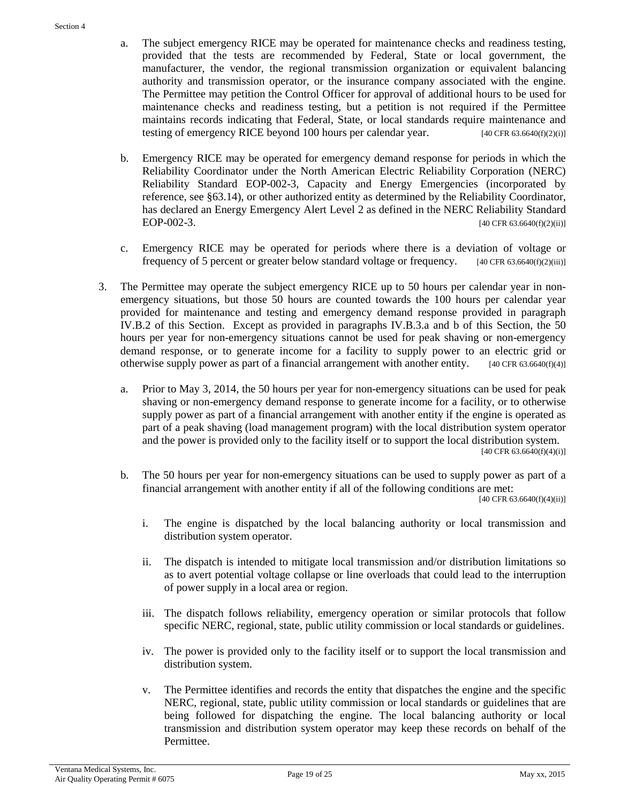- a. The subject emergency RICE may be operated for maintenance checks and readiness testing, provided that the tests are recommended by Federal, State or local government, the manufacturer, the vendor, the regional transmission organization or equivalent balancing authority and transmission operator, or the insurance company associated with the engine. The Permittee may petition the Control Officer for approval of additional hours to be used for maintenance checks and readiness testing, but a petition is not required if the Permittee maintains records indicating that Federal, State, or local standards require maintenance and testing of emergency RICE beyond 100 hours per calendar year.  $[40 \text{ CFR } 63.6640 \text{ (f)}(2) \text{ (i)}]$
- b. Emergency RICE may be operated for emergency demand response for periods in which the Reliability Coordinator under the North American Electric Reliability Corporation (NERC) Reliability Standard EOP-002-3, Capacity and Energy Emergencies (incorporated by reference, see §63.14), or other authorized entity as determined by the Reliability Coordinator, has declared an Energy Emergency Alert Level 2 as defined in the NERC Reliability Standard EOP-002-3. [40 CFR 63.6640(f)(2)(ii)]
- c. Emergency RICE may be operated for periods where there is a deviation of voltage or frequency of 5 percent or greater below standard voltage or frequency.  $[40 \text{ CFR } 63.6640 \text{ (f)}(2) \text{ (iii)}]$
- 3. The Permittee may operate the subject emergency RICE up to 50 hours per calendar year in nonemergency situations, but those 50 hours are counted towards the 100 hours per calendar year provided for maintenance and testing and emergency demand response provided in paragraph IV.B.2 of this Section. Except as provided in paragraphs IV.B.3.a and b of this Section, the 50 hours per year for non-emergency situations cannot be used for peak shaving or non-emergency demand response, or to generate income for a facility to supply power to an electric grid or otherwise supply power as part of a financial arrangement with another entity. [40 CFR 63.6640(f)(4)]
	- a. Prior to May 3, 2014, the 50 hours per year for non-emergency situations can be used for peak shaving or non-emergency demand response to generate income for a facility, or to otherwise supply power as part of a financial arrangement with another entity if the engine is operated as part of a peak shaving (load management program) with the local distribution system operator and the power is provided only to the facility itself or to support the local distribution system.  $[40 \text{ CFR } 63.6640(f)(4)(i)]$
	- b. The 50 hours per year for non-emergency situations can be used to supply power as part of a financial arrangement with another entity if all of the following conditions are met:  $[40 \text{ CFR } 63.6640(f)(4)(ii)]$ 
		- i. The engine is dispatched by the local balancing authority or local transmission and distribution system operator.
		- ii. The dispatch is intended to mitigate local transmission and/or distribution limitations so as to avert potential voltage collapse or line overloads that could lead to the interruption of power supply in a local area or region.
		- iii. The dispatch follows reliability, emergency operation or similar protocols that follow specific NERC, regional, state, public utility commission or local standards or guidelines.
		- iv. The power is provided only to the facility itself or to support the local transmission and distribution system.
		- v. The Permittee identifies and records the entity that dispatches the engine and the specific NERC, regional, state, public utility commission or local standards or guidelines that are being followed for dispatching the engine. The local balancing authority or local transmission and distribution system operator may keep these records on behalf of the Permittee.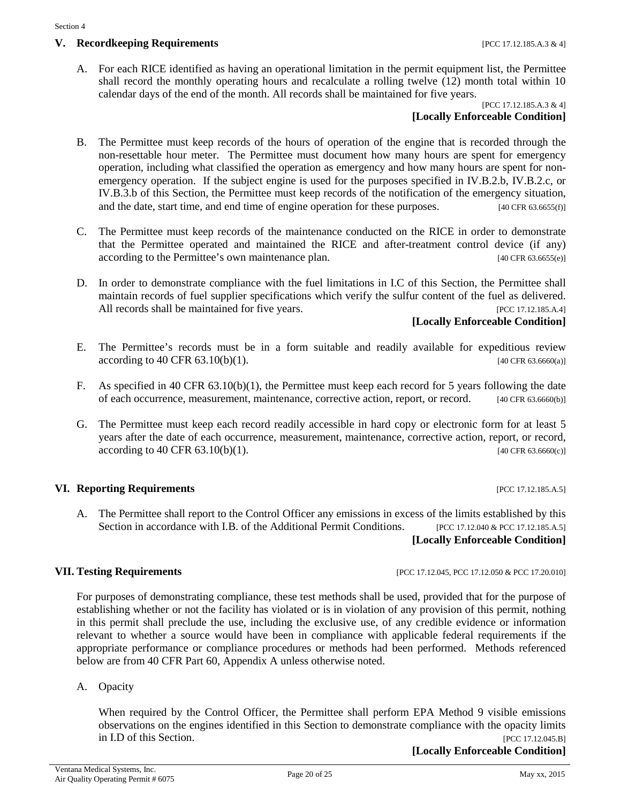A. For each RICE identified as having an operational limitation in the permit equipment list, the Permittee shall record the monthly operating hours and recalculate a rolling twelve (12) month total within 10 calendar days of the end of the month. All records shall be maintained for five years.

#### [PCC 17.12.185.A.3 & 4] **[Locally Enforceable Condition]**

- B. The Permittee must keep records of the hours of operation of the engine that is recorded through the non-resettable hour meter. The Permittee must document how many hours are spent for emergency operation, including what classified the operation as emergency and how many hours are spent for nonemergency operation. If the subject engine is used for the purposes specified in IV.B.2.b, IV.B.2.c, or IV.B.3.b of this Section, the Permittee must keep records of the notification of the emergency situation, and the date, start time, and end time of engine operation for these purposes. [40 CFR 63.6655(f)]
- C. The Permittee must keep records of the maintenance conducted on the RICE in order to demonstrate that the Permittee operated and maintained the RICE and after-treatment control device (if any) according to the Permittee's own maintenance plan. [40 CFR 63.6655(e)]
- D. In order to demonstrate compliance with the fuel limitations in I.C of this Section, the Permittee shall maintain records of fuel supplier specifications which verify the sulfur content of the fuel as delivered. All records shall be maintained for five years. [PCC 17.12.185.A.4]

#### **[Locally Enforceable Condition]**

- E. The Permittee's records must be in a form suitable and readily available for expeditious review  $\alpha$  according to 40 CFR 63.10(b)(1). [40 CFR 63.6660(a)]
- F. As specified in 40 CFR 63.10(b)(1), the Permittee must keep each record for 5 years following the date of each occurrence, measurement, maintenance, corrective action, report, or record. [40 CFR 63.6660(b)]
- G. The Permittee must keep each record readily accessible in hard copy or electronic form for at least 5 years after the date of each occurrence, measurement, maintenance, corrective action, report, or record,  $\alpha$  according to 40 CFR 63.10(b)(1). [40 CFR 63.6660(c)]

#### **VI. Reporting Requirements [PCC 17.12.185.A.5]**

A. The Permittee shall report to the Control Officer any emissions in excess of the limits established by this Section in accordance with I.B. of the Additional Permit Conditions. [PCC 17.12.040 & PCC 17.12.185.A.5] **[Locally Enforceable Condition]**

#### **VII. Testing Requirements** [PCC 17.12.045, PCC 17.12.050 & PCC 17.20.010]

For purposes of demonstrating compliance, these test methods shall be used, provided that for the purpose of establishing whether or not the facility has violated or is in violation of any provision of this permit, nothing in this permit shall preclude the use, including the exclusive use, of any credible evidence or information relevant to whether a source would have been in compliance with applicable federal requirements if the appropriate performance or compliance procedures or methods had been performed. Methods referenced below are from 40 CFR Part 60, Appendix A unless otherwise noted.

A. Opacity

When required by the Control Officer, the Permittee shall perform EPA Method 9 visible emissions observations on the engines identified in this Section to demonstrate compliance with the opacity limits in I.D of this Section. [PCC 17.12.045.B]

**[Locally Enforceable Condition]**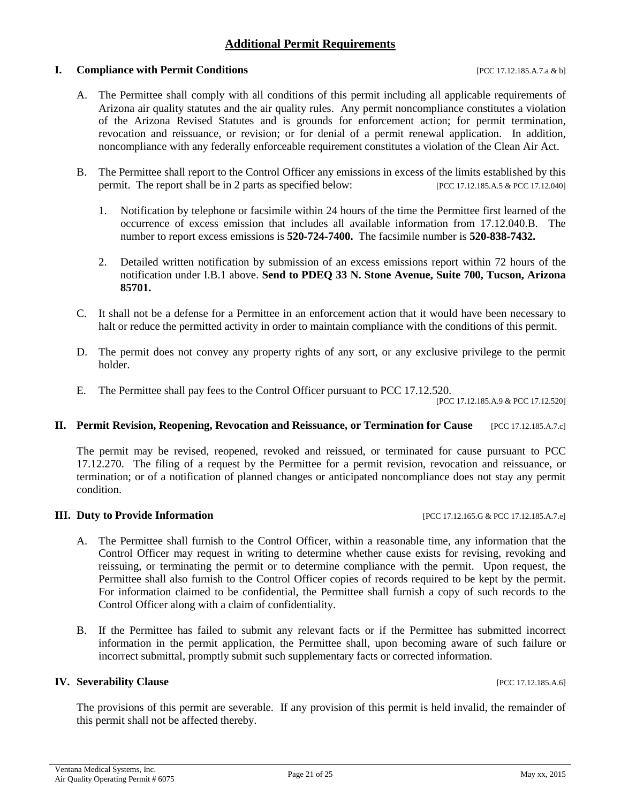#### **Additional Permit Requirements**

#### **I. Compliance with Permit Conditions I.e. 2016** [PCC 17.12.185.A.7.a & b]

A. The Permittee shall comply with all conditions of this permit including all applicable requirements of Arizona air quality statutes and the air quality rules. Any permit noncompliance constitutes a violation of the Arizona Revised Statutes and is grounds for enforcement action; for permit termination, revocation and reissuance, or revision; or for denial of a permit renewal application. In addition, noncompliance with any federally enforceable requirement constitutes a violation of the Clean Air Act.

- B. The Permittee shall report to the Control Officer any emissions in excess of the limits established by this permit. The report shall be in 2 parts as specified below: [PCC 17.12.185.A.5 & PCC 17.12.040]
	- 1. Notification by telephone or facsimile within 24 hours of the time the Permittee first learned of the occurrence of excess emission that includes all available information from 17.12.040.B. The number to report excess emissions is **520-724-7400.** The facsimile number is **520-838-7432.**
	- 2. Detailed written notification by submission of an excess emissions report within 72 hours of the notification under I.B.1 above. **Send to PDEQ 33 N. Stone Avenue, Suite 700, Tucson, Arizona 85701.**
- C. It shall not be a defense for a Permittee in an enforcement action that it would have been necessary to halt or reduce the permitted activity in order to maintain compliance with the conditions of this permit.
- D. The permit does not convey any property rights of any sort, or any exclusive privilege to the permit holder.
- E. The Permittee shall pay fees to the Control Officer pursuant to PCC 17.12.520.

[PCC 17.12.185.A.9 & PCC 17.12.520]

#### **II. Permit Revision, Reopening, Revocation and Reissuance, or Termination for Cause** [PCC 17.12.185.A.7.c]

The permit may be revised, reopened, revoked and reissued, or terminated for cause pursuant to PCC 17.12.270. The filing of a request by the Permittee for a permit revision, revocation and reissuance, or termination; or of a notification of planned changes or anticipated noncompliance does not stay any permit condition.

#### **III. Duty to Provide Information** [PCC 17.12.165.G & PCC 17.12.185.A.7.e]

- A. The Permittee shall furnish to the Control Officer, within a reasonable time, any information that the Control Officer may request in writing to determine whether cause exists for revising, revoking and reissuing, or terminating the permit or to determine compliance with the permit. Upon request, the Permittee shall also furnish to the Control Officer copies of records required to be kept by the permit. For information claimed to be confidential, the Permittee shall furnish a copy of such records to the Control Officer along with a claim of confidentiality.
- B. If the Permittee has failed to submit any relevant facts or if the Permittee has submitted incorrect information in the permit application, the Permittee shall, upon becoming aware of such failure or incorrect submittal, promptly submit such supplementary facts or corrected information.

#### **IV. Severability Clause IPCC 17.12.185.A.6**]

The provisions of this permit are severable. If any provision of this permit is held invalid, the remainder of this permit shall not be affected thereby.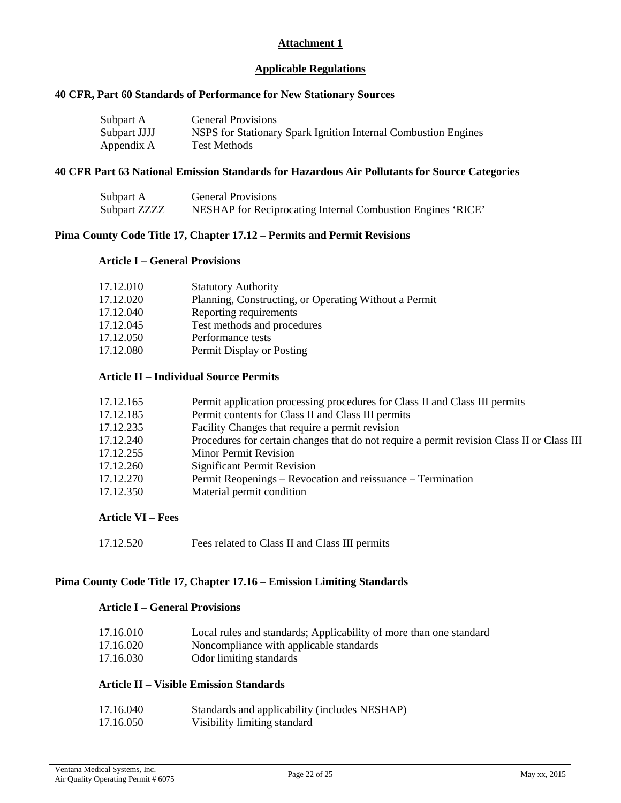#### **Attachment 1**

#### **Applicable Regulations**

#### **40 CFR, Part 60 Standards of Performance for New Stationary Sources**

| Subpart A    | <b>General Provisions</b>                                      |
|--------------|----------------------------------------------------------------|
| Subpart JJJJ | NSPS for Stationary Spark Ignition Internal Combustion Engines |
| Appendix A   | <b>Test Methods</b>                                            |

#### **40 CFR Part 63 National Emission Standards for Hazardous Air Pollutants for Source Categories**

| Subpart A    | <b>General Provisions</b>                                   |
|--------------|-------------------------------------------------------------|
| Subpart ZZZZ | NESHAP for Reciprocating Internal Combustion Engines 'RICE' |

#### **Pima County Code Title 17, Chapter 17.12 – Permits and Permit Revisions**

#### **Article I – General Provisions**

| 17.12.010 | <b>Statutory Authority</b>                            |
|-----------|-------------------------------------------------------|
| 17.12.020 | Planning, Constructing, or Operating Without a Permit |
| 17.12.040 | Reporting requirements                                |
| 17.12.045 | Test methods and procedures                           |
| 17.12.050 | Performance tests                                     |
| 17.12.080 | Permit Display or Posting                             |
|           |                                                       |

#### **Article II – Individual Source Permits**

| 17.12.165 | Permit application processing procedures for Class II and Class III permits                |
|-----------|--------------------------------------------------------------------------------------------|
| 17.12.185 | Permit contents for Class II and Class III permits                                         |
| 17.12.235 | Facility Changes that require a permit revision                                            |
| 17.12.240 | Procedures for certain changes that do not require a permit revision Class II or Class III |
| 17.12.255 | <b>Minor Permit Revision</b>                                                               |
| 17.12.260 | <b>Significant Permit Revision</b>                                                         |
| 17.12.270 | Permit Reopenings – Revocation and reissuance – Termination                                |
| 17.12.350 | Material permit condition                                                                  |

#### **Article VI – Fees**

17.12.520 Fees related to Class II and Class III permits

#### **Pima County Code Title 17, Chapter 17.16 – Emission Limiting Standards**

#### **Article I – General Provisions**

| 17.16.010 | Local rules and standards; Applicability of more than one standard |
|-----------|--------------------------------------------------------------------|
| 17.16.020 | Noncompliance with applicable standards                            |
| 17.16.030 | Odor limiting standards                                            |

#### **Article II – Visible Emission Standards**

| 17.16.040 | Standards and applicability (includes NESHAP) |
|-----------|-----------------------------------------------|
| 17.16.050 | Visibility limiting standard                  |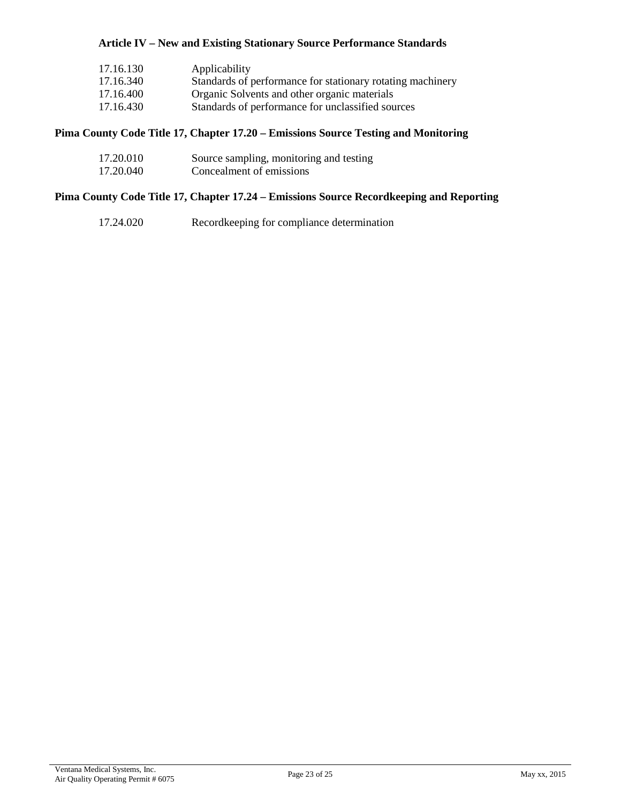#### **Article IV – New and Existing Stationary Source Performance Standards**

| 17.16.130 | Applicability                                              |
|-----------|------------------------------------------------------------|
| 17.16.340 | Standards of performance for stationary rotating machinery |
| 17.16.400 | Organic Solvents and other organic materials               |
| 17.16.430 | Standards of performance for unclassified sources          |

#### **Pima County Code Title 17, Chapter 17.20 – Emissions Source Testing and Monitoring**

| 17.20.010 | Source sampling, monitoring and testing |
|-----------|-----------------------------------------|
| 17.20.040 | Concealment of emissions                |

#### **Pima County Code Title 17, Chapter 17.24 – Emissions Source Recordkeeping and Reporting**

| 17.24.020 | Recordkeeping for compliance determination |
|-----------|--------------------------------------------|
|-----------|--------------------------------------------|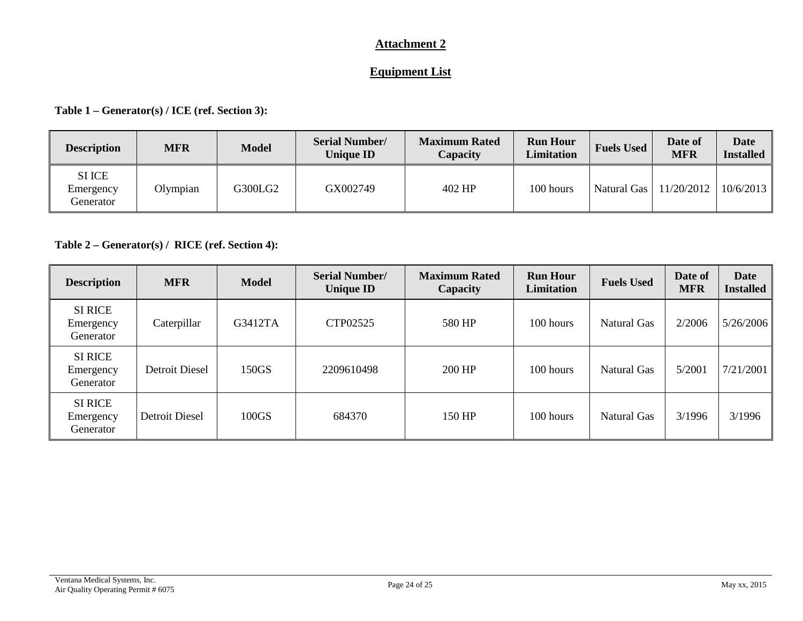#### **Attachment 2**

### **Equipment List**

#### **Table 1 – Generator(s) / ICE (ref. Section 3):**

| <b>Description</b>                      | <b>MFR</b> | <b>Model</b> | <b>Serial Number/</b><br><b>Unique ID</b> | <b>Maximum Rated</b><br>Capacity | <b>Run Hour</b><br><b>Limitation</b> | <b>Fuels Used</b>  | Date of<br><b>MFR</b> | <b>Date</b><br><b>Installed</b> |
|-----------------------------------------|------------|--------------|-------------------------------------------|----------------------------------|--------------------------------------|--------------------|-----------------------|---------------------------------|
| <b>SI ICE</b><br>Emergency<br>Generator | Olympian   | G300LG2      | GX002749                                  | 402 HP                           | 100 hours                            | <b>Natural Gas</b> | 11/20/2012            | 10/6/2013                       |

#### **Table 2 – Generator(s) / RICE (ref. Section 4):**

| <b>Description</b>                       | <b>MFR</b>            | <b>Model</b> | <b>Serial Number/</b><br><b>Unique ID</b> | <b>Maximum Rated</b><br>Capacity | <b>Run Hour</b><br><b>Limitation</b> | <b>Fuels Used</b>  | Date of<br><b>MFR</b> | <b>Date</b><br><b>Installed</b> |
|------------------------------------------|-----------------------|--------------|-------------------------------------------|----------------------------------|--------------------------------------|--------------------|-----------------------|---------------------------------|
| <b>SI RICE</b><br>Emergency<br>Generator | Caterpillar           | G3412TA      | CTP02525                                  | 580 HP                           | 100 hours                            | <b>Natural Gas</b> | 2/2006                | 5/26/2006                       |
| <b>SI RICE</b><br>Emergency<br>Generator | Detroit Diesel        | 150GS        | 2209610498                                | 200 HP                           | 100 hours                            | Natural Gas        | 5/2001                | 7/21/2001                       |
| <b>SI RICE</b><br>Emergency<br>Generator | <b>Detroit Diesel</b> | 100GS        | 684370                                    | 150 HP                           | 100 hours                            | Natural Gas        | 3/1996                | 3/1996                          |